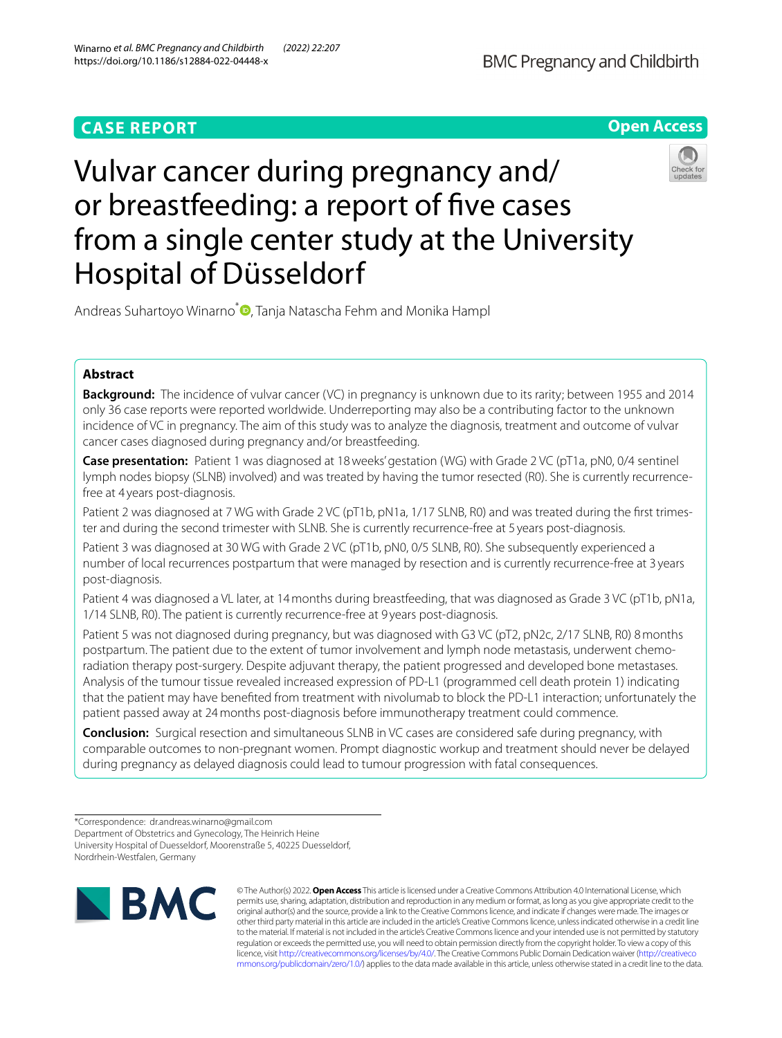# **CASE REPORT**



# Vulvar cancer during pregnancy and/ or breastfeeding: a report of fve cases from a single center study at the University Hospital of Düsseldorf



Andreas Suhartoyo Winarno<sup>\*</sup> **D**[,](http://orcid.org/0000-0002-4104-4427) Tanja Natascha Fehm and Monika Hampl

# **Abstract**

**Background:** The incidence of vulvar cancer (VC) in pregnancy is unknown due to its rarity; between 1955 and 2014 only 36 case reports were reported worldwide. Underreporting may also be a contributing factor to the unknown incidence of VC in pregnancy. The aim of this study was to analyze the diagnosis, treatment and outcome of vulvar cancer cases diagnosed during pregnancy and/or breastfeeding.

**Case presentation:** Patient 1 was diagnosed at 18weeks' gestation (WG) with Grade 2 VC (pT1a, pN0, 0/4 sentinel lymph nodes biopsy (SLNB) involved) and was treated by having the tumor resected (R0). She is currently recurrencefree at 4 years post-diagnosis.

Patient 2 was diagnosed at 7 WG with Grade 2 VC (pT1b, pN1a, 1/17 SLNB, R0) and was treated during the first trimester and during the second trimester with SLNB. She is currently recurrence-free at 5 years post-diagnosis.

Patient 3 was diagnosed at 30 WG with Grade 2 VC (pT1b, pN0, 0/5 SLNB, R0). She subsequently experienced a number of local recurrences postpartum that were managed by resection and is currently recurrence-free at 3 years post-diagnosis.

Patient 4 was diagnosed a VL later, at 14months during breastfeeding, that was diagnosed as Grade 3 VC (pT1b, pN1a, 1/14 SLNB, R0). The patient is currently recurrence-free at 9 years post-diagnosis.

Patient 5 was not diagnosed during pregnancy, but was diagnosed with G3 VC (pT2, pN2c, 2/17 SLNB, R0) 8months postpartum. The patient due to the extent of tumor involvement and lymph node metastasis, underwent chemoradiation therapy post-surgery. Despite adjuvant therapy, the patient progressed and developed bone metastases. Analysis of the tumour tissue revealed increased expression of PD-L1 (programmed cell death protein 1) indicating that the patient may have benefted from treatment with nivolumab to block the PD-L1 interaction; unfortunately the patient passed away at 24months post-diagnosis before immunotherapy treatment could commence.

**Conclusion:** Surgical resection and simultaneous SLNB in VC cases are considered safe during pregnancy, with comparable outcomes to non-pregnant women. Prompt diagnostic workup and treatment should never be delayed during pregnancy as delayed diagnosis could lead to tumour progression with fatal consequences.

Nordrhein-Westfalen, Germany



© The Author(s) 2022. **Open Access** This article is licensed under a Creative Commons Attribution 4.0 International License, which permits use, sharing, adaptation, distribution and reproduction in any medium or format, as long as you give appropriate credit to the original author(s) and the source, provide a link to the Creative Commons licence, and indicate if changes were made. The images or other third party material in this article are included in the article's Creative Commons licence, unless indicated otherwise in a credit line to the material. If material is not included in the article's Creative Commons licence and your intended use is not permitted by statutory regulation or exceeds the permitted use, you will need to obtain permission directly from the copyright holder. To view a copy of this licence, visit [http://creativecommons.org/licenses/by/4.0/.](http://creativecommons.org/licenses/by/4.0/) The Creative Commons Public Domain Dedication waiver ([http://creativeco](http://creativecommons.org/publicdomain/zero/1.0/) [mmons.org/publicdomain/zero/1.0/](http://creativecommons.org/publicdomain/zero/1.0/)) applies to the data made available in this article, unless otherwise stated in a credit line to the data.

<sup>\*</sup>Correspondence: dr.andreas.winarno@gmail.com

Department of Obstetrics and Gynecology, The Heinrich Heine University Hospital of Duesseldorf, Moorenstraße 5, 40225 Duesseldorf,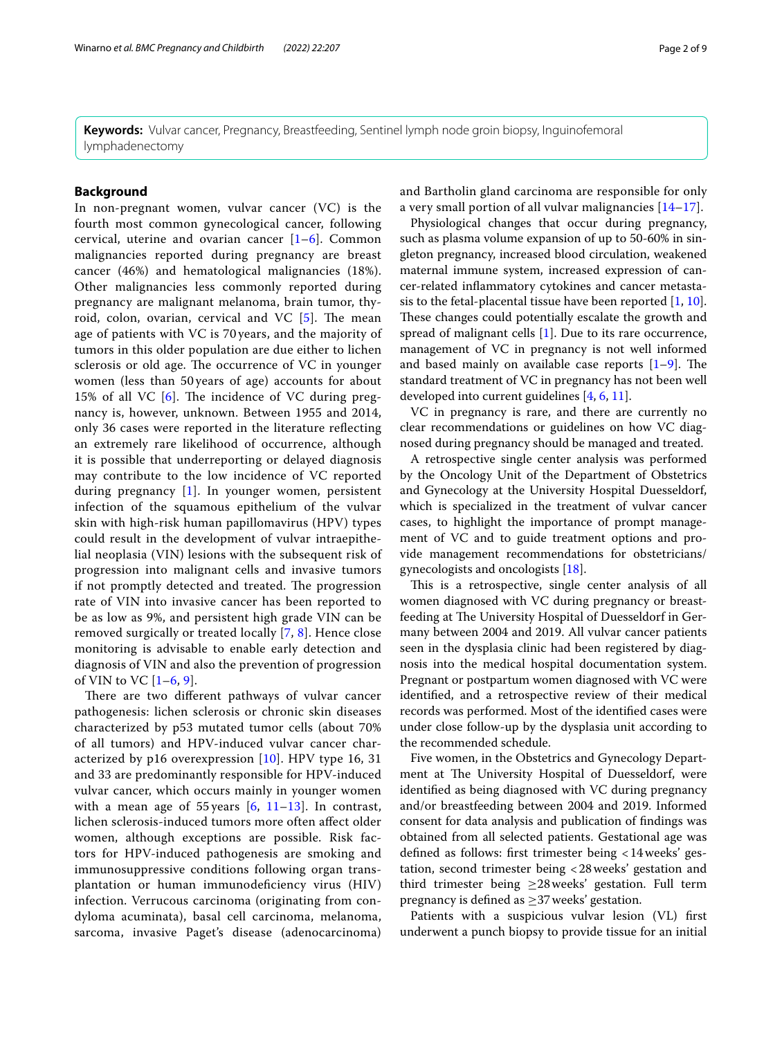**Keywords:** Vulvar cancer, Pregnancy, Breastfeeding, Sentinel lymph node groin biopsy, Inguinofemoral lymphadenectomy

# **Background**

In non-pregnant women, vulvar cancer (VC) is the fourth most common gynecological cancer, following cervical, uterine and ovarian cancer [\[1](#page-7-0)[–6](#page-7-1)]. Common malignancies reported during pregnancy are breast cancer (46%) and hematological malignancies (18%). Other malignancies less commonly reported during pregnancy are malignant melanoma, brain tumor, thyroid, colon, ovarian, cervical and VC  $[5]$  $[5]$ . The mean age of patients with VC is 70 years, and the majority of tumors in this older population are due either to lichen sclerosis or old age. The occurrence of VC in younger women (less than 50 years of age) accounts for about 15% of all VC  $[6]$  $[6]$  $[6]$ . The incidence of VC during pregnancy is, however, unknown. Between 1955 and 2014, only 36 cases were reported in the literature refecting an extremely rare likelihood of occurrence, although it is possible that underreporting or delayed diagnosis may contribute to the low incidence of VC reported during pregnancy [[1](#page-7-0)]. In younger women, persistent infection of the squamous epithelium of the vulvar skin with high-risk human papillomavirus (HPV) types could result in the development of vulvar intraepithelial neoplasia (VIN) lesions with the subsequent risk of progression into malignant cells and invasive tumors if not promptly detected and treated. The progression rate of VIN into invasive cancer has been reported to be as low as 9%, and persistent high grade VIN can be removed surgically or treated locally [[7,](#page-7-3) [8\]](#page-7-4). Hence close monitoring is advisable to enable early detection and diagnosis of VIN and also the prevention of progression of VIN to VC  $[1–6, 9]$  $[1–6, 9]$  $[1–6, 9]$  $[1–6, 9]$  $[1–6, 9]$ .

There are two different pathways of vulvar cancer pathogenesis: lichen sclerosis or chronic skin diseases characterized by p53 mutated tumor cells (about 70% of all tumors) and HPV-induced vulvar cancer characterized by  $p16$  overexpression  $[10]$  $[10]$ . HPV type 16, 31 and 33 are predominantly responsible for HPV-induced vulvar cancer, which occurs mainly in younger women with a mean age of 55 years  $[6, 11-13]$  $[6, 11-13]$  $[6, 11-13]$  $[6, 11-13]$  $[6, 11-13]$ . In contrast, lichen sclerosis-induced tumors more often afect older women, although exceptions are possible. Risk factors for HPV-induced pathogenesis are smoking and immunosuppressive conditions following organ transplantation or human immunodefciency virus (HIV) infection. Verrucous carcinoma (originating from condyloma acuminata), basal cell carcinoma, melanoma, sarcoma, invasive Paget's disease (adenocarcinoma) and Bartholin gland carcinoma are responsible for only a very small portion of all vulvar malignancies [\[14](#page-7-9)[–17\]](#page-7-10).

Physiological changes that occur during pregnancy, such as plasma volume expansion of up to 50-60% in singleton pregnancy, increased blood circulation, weakened maternal immune system, increased expression of cancer-related infammatory cytokines and cancer metastasis to the fetal-placental tissue have been reported  $[1, 10]$  $[1, 10]$  $[1, 10]$  $[1, 10]$ . These changes could potentially escalate the growth and spread of malignant cells [[1\]](#page-7-0). Due to its rare occurrence, management of VC in pregnancy is not well informed and based mainly on available case reports  $[1-9]$  $[1-9]$  $[1-9]$ . The standard treatment of VC in pregnancy has not been well developed into current guidelines [\[4](#page-7-11), [6](#page-7-1), [11\]](#page-7-7).

VC in pregnancy is rare, and there are currently no clear recommendations or guidelines on how VC diagnosed during pregnancy should be managed and treated.

A retrospective single center analysis was performed by the Oncology Unit of the Department of Obstetrics and Gynecology at the University Hospital Duesseldorf, which is specialized in the treatment of vulvar cancer cases, to highlight the importance of prompt management of VC and to guide treatment options and provide management recommendations for obstetricians/ gynecologists and oncologists [[18](#page-8-0)].

This is a retrospective, single center analysis of all women diagnosed with VC during pregnancy or breastfeeding at The University Hospital of Duesseldorf in Germany between 2004 and 2019. All vulvar cancer patients seen in the dysplasia clinic had been registered by diagnosis into the medical hospital documentation system. Pregnant or postpartum women diagnosed with VC were identifed, and a retrospective review of their medical records was performed. Most of the identifed cases were under close follow-up by the dysplasia unit according to the recommended schedule.

Five women, in the Obstetrics and Gynecology Department at The University Hospital of Duesseldorf, were identifed as being diagnosed with VC during pregnancy and/or breastfeeding between 2004 and 2019. Informed consent for data analysis and publication of fndings was obtained from all selected patients. Gestational age was defned as follows: frst trimester being <14weeks' gestation, second trimester being <28weeks' gestation and third trimester being  $\geq$ 28 weeks' gestation. Full term pregnancy is defned as ≥37weeks' gestation.

Patients with a suspicious vulvar lesion (VL) frst underwent a punch biopsy to provide tissue for an initial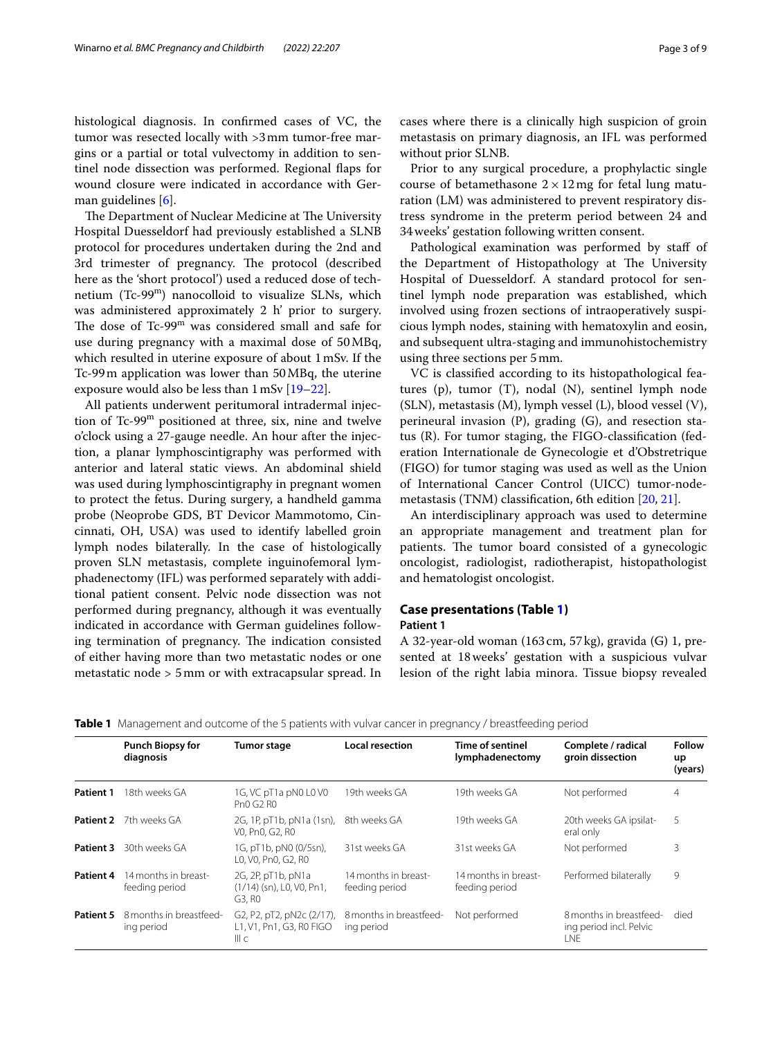histological diagnosis. In confrmed cases of VC, the tumor was resected locally with >3mm tumor-free margins or a partial or total vulvectomy in addition to sentinel node dissection was performed. Regional faps for wound closure were indicated in accordance with German guidelines [\[6\]](#page-7-1).

The Department of Nuclear Medicine at The University Hospital Duesseldorf had previously established a SLNB protocol for procedures undertaken during the 2nd and 3rd trimester of pregnancy. The protocol (described here as the 'short protocol') used a reduced dose of technetium (Tc-99m) nanocolloid to visualize SLNs, which was administered approximately 2 h' prior to surgery. The dose of  $Tc-99<sup>m</sup>$  was considered small and safe for use during pregnancy with a maximal dose of 50MBq, which resulted in uterine exposure of about 1mSv. If the Tc-99m application was lower than 50MBq, the uterine exposure would also be less than 1mSv [\[19–](#page-8-1)[22\]](#page-8-2).

All patients underwent peritumoral intradermal injection of Tc-99m positioned at three, six, nine and twelve o'clock using a 27-gauge needle. An hour after the injection, a planar lymphoscintigraphy was performed with anterior and lateral static views. An abdominal shield was used during lymphoscintigraphy in pregnant women to protect the fetus. During surgery, a handheld gamma probe (Neoprobe GDS, BT Devicor Mammotomo, Cincinnati, OH, USA) was used to identify labelled groin lymph nodes bilaterally. In the case of histologically proven SLN metastasis, complete inguinofemoral lymphadenectomy (IFL) was performed separately with additional patient consent. Pelvic node dissection was not performed during pregnancy, although it was eventually indicated in accordance with German guidelines following termination of pregnancy. The indication consisted of either having more than two metastatic nodes or one metastatic node > 5mm or with extracapsular spread. In cases where there is a clinically high suspicion of groin metastasis on primary diagnosis, an IFL was performed without prior SLNB.

Prior to any surgical procedure, a prophylactic single course of betamethasone  $2 \times 12$  mg for fetal lung maturation (LM) was administered to prevent respiratory distress syndrome in the preterm period between 24 and 34weeks' gestation following written consent.

Pathological examination was performed by staff of the Department of Histopathology at The University Hospital of Duesseldorf. A standard protocol for sentinel lymph node preparation was established, which involved using frozen sections of intraoperatively suspicious lymph nodes, staining with hematoxylin and eosin, and subsequent ultra-staging and immunohistochemistry using three sections per 5mm.

VC is classifed according to its histopathological features (p), tumor (T), nodal (N), sentinel lymph node (SLN), metastasis (M), lymph vessel (L), blood vessel (V), perineural invasion (P), grading (G), and resection status (R). For tumor staging, the FIGO-classifcation (federation Internationale de Gynecologie et d'Obstretrique (FIGO) for tumor staging was used as well as the Union of International Cancer Control (UICC) tumor-nodemetastasis (TNM) classifcation, 6th edition [\[20,](#page-8-3) [21](#page-8-4)].

An interdisciplinary approach was used to determine an appropriate management and treatment plan for patients. The tumor board consisted of a gynecologic oncologist, radiologist, radiotherapist, histopathologist and hematologist oncologist.

# **Case presentations (Table [1\)](#page-2-0)**

# **Patient 1**

A 32-year-old woman (163cm, 57kg), gravida (G) 1, presented at 18weeks' gestation with a suspicious vulvar lesion of the right labia minora. Tissue biopsy revealed

<span id="page-2-0"></span>

| Table 1 Management and outcome of the 5 patients with vulvar cancer in pregnancy / breastfeeding period |  |  |  |  |
|---------------------------------------------------------------------------------------------------------|--|--|--|--|
|                                                                                                         |  |  |  |  |

|                  | <b>Punch Biopsy for</b><br>diagnosis   | <b>Tumor stage</b>                                                                                                            | <b>Local resection</b>                     | Time of sentinel<br>lymphadenectomy    | Complete / radical<br>groin dissection                           | <b>Follow</b><br>up<br>(years) |
|------------------|----------------------------------------|-------------------------------------------------------------------------------------------------------------------------------|--------------------------------------------|----------------------------------------|------------------------------------------------------------------|--------------------------------|
| <b>Patient 1</b> | 18th weeks GA                          | 1G, VC pT1a pN0 L0 V0<br>Pn0 G2 R0                                                                                            | 19th weeks GA                              | 19th weeks GA                          | Not performed                                                    | 4                              |
| Patient 2        | 7th weeks GA                           | 2G, 1P, pT1b, pN1a (1sn),<br>VO. PnO. G2. RO                                                                                  | 19th weeks GA<br>8th weeks GA<br>eral only |                                        | 20th weeks GA ipsilat-                                           | 5                              |
| Patient 3        | 30th weeks GA                          | 1G, pT1b, pN0 (0/5sn),<br>L0, V0, Pn0, G2, R0                                                                                 | 31st weeks GA                              | 31st weeks GA                          | Not performed                                                    | 3                              |
| Patient 4        | 14 months in breast-<br>feeding period | 2G, 2P, pT1b, pN1a<br>(1/14) (sn), L0, V0, Pn1,<br>G3, R0                                                                     | 14 months in breast-<br>feeding period     | 14 months in breast-<br>feeding period | Performed bilaterally                                            | 9                              |
| Patient 5        | 8 months in breastfeed-<br>ing period  | G <sub>2</sub> , P <sub>2</sub> , pT <sub>2</sub> , pN <sub>2</sub> c (2/17),<br>L1, V1, Pn1, G3, R0 FIGO<br>III <sub>C</sub> | 8 months in breastfeed-<br>ing period      | Not performed                          | 8 months in breastfeed-<br>ing period incl. Pelvic<br><b>INF</b> | died                           |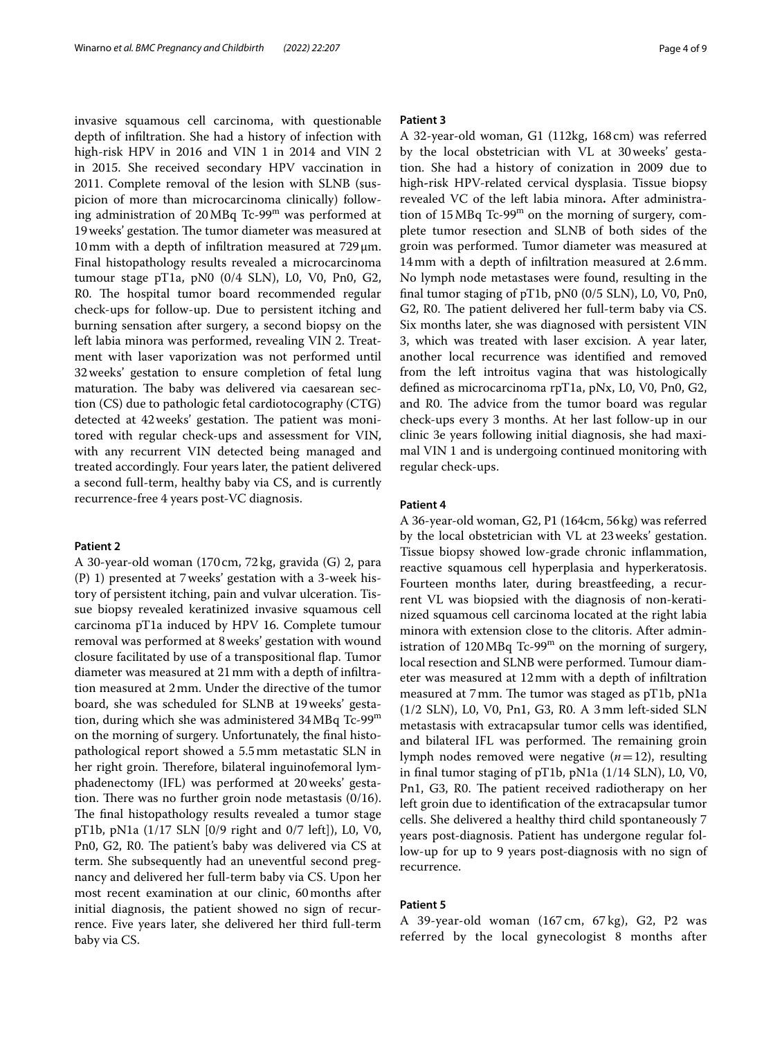invasive squamous cell carcinoma, with questionable depth of infltration. She had a history of infection with high-risk HPV in 2016 and VIN 1 in 2014 and VIN 2 in 2015. She received secondary HPV vaccination in 2011. Complete removal of the lesion with SLNB (suspicion of more than microcarcinoma clinically) following administration of 20MBq Tc-99m was performed at 19 weeks' gestation. The tumor diameter was measured at 10mm with a depth of infltration measured at 729μm. Final histopathology results revealed a microcarcinoma tumour stage pT1a, pN0 (0/4 SLN), L0, V0, Pn0, G2, R0. The hospital tumor board recommended regular check-ups for follow-up. Due to persistent itching and burning sensation after surgery, a second biopsy on the left labia minora was performed, revealing VIN 2. Treatment with laser vaporization was not performed until 32weeks' gestation to ensure completion of fetal lung maturation. The baby was delivered via caesarean section (CS) due to pathologic fetal cardiotocography (CTG) detected at 42 weeks' gestation. The patient was monitored with regular check-ups and assessment for VIN, with any recurrent VIN detected being managed and treated accordingly. Four years later, the patient delivered a second full-term, healthy baby via CS, and is currently recurrence-free 4 years post-VC diagnosis.

#### **Patient 2**

A 30-year-old woman (170 cm, 72kg, gravida (G) 2, para (P) 1) presented at 7weeks' gestation with a 3-week history of persistent itching, pain and vulvar ulceration. Tissue biopsy revealed keratinized invasive squamous cell carcinoma pT1a induced by HPV 16. Complete tumour removal was performed at 8weeks' gestation with wound closure facilitated by use of a transpositional fap. Tumor diameter was measured at 21mm with a depth of infltration measured at 2mm. Under the directive of the tumor board, she was scheduled for SLNB at 19weeks' gestation, during which she was administered 34 MBq Tc-99<sup>m</sup> on the morning of surgery. Unfortunately, the fnal histopathological report showed a 5.5mm metastatic SLN in her right groin. Therefore, bilateral inguinofemoral lymphadenectomy (IFL) was performed at 20weeks' gestation. There was no further groin node metastasis  $(0/16)$ . The final histopathology results revealed a tumor stage pT1b, pN1a (1/17 SLN [0/9 right and 0/7 left]), L0, V0, Pn0, G2, R0. The patient's baby was delivered via CS at term. She subsequently had an uneventful second pregnancy and delivered her full-term baby via CS. Upon her most recent examination at our clinic, 60months after initial diagnosis, the patient showed no sign of recurrence. Five years later, she delivered her third full-term baby via CS.

#### **Patient 3**

A 32-year-old woman, G1 (112kg, 168cm) was referred by the local obstetrician with VL at 30weeks' gestation. She had a history of conization in 2009 due to high**-**risk HPV-related cervical dysplasia. Tissue biopsy revealed VC of the left labia minora**.** After administration of  $15 \text{ MBq Tc-99}^m$  on the morning of surgery, complete tumor resection and SLNB of both sides of the groin was performed. Tumor diameter was measured at 14mm with a depth of infltration measured at 2.6mm. No lymph node metastases were found, resulting in the fnal tumor staging of pT1b, pN0 (0/5 SLN), L0, V0, Pn0, G2, R0. The patient delivered her full-term baby via CS. Six months later, she was diagnosed with persistent VIN 3, which was treated with laser excision. A year later, another local recurrence was identifed and removed from the left introitus vagina that was histologically defned as microcarcinoma rpT1a, pNx, L0, V0, Pn0, G2, and R0. The advice from the tumor board was regular check-ups every 3 months. At her last follow-up in our clinic 3e years following initial diagnosis, she had maximal VIN 1 and is undergoing continued monitoring with regular check-ups.

### **Patient 4**

A 36-year-old woman, G2, P1 (164cm, 56kg) was referred by the local obstetrician with VL at 23weeks' gestation. Tissue biopsy showed low-grade chronic infammation, reactive squamous cell hyperplasia and hyperkeratosis. Fourteen months later, during breastfeeding, a recurrent VL was biopsied with the diagnosis of non-keratinized squamous cell carcinoma located at the right labia minora with extension close to the clitoris. After administration of  $120MBq$  Tc-99<sup>m</sup> on the morning of surgery, local resection and SLNB were performed. Tumour diameter was measured at 12mm with a depth of infltration measured at 7 mm. The tumor was staged as pT1b, pN1a (1/2 SLN), L0, V0, Pn1, G3, R0. A 3mm left-sided SLN metastasis with extracapsular tumor cells was identifed, and bilateral IFL was performed. The remaining groin lymph nodes removed were negative (*n*=12), resulting in fnal tumor staging of pT1b, pN1a (1/14 SLN), L0, V0, Pn1, G3, R0. The patient received radiotherapy on her left groin due to identifcation of the extracapsular tumor cells. She delivered a healthy third child spontaneously 7 years post-diagnosis. Patient has undergone regular follow-up for up to 9 years post-diagnosis with no sign of recurrence.

### **Patient 5**

A 39-year-old woman (167 cm, 67 kg), G2, P2 was referred by the local gynecologist 8 months after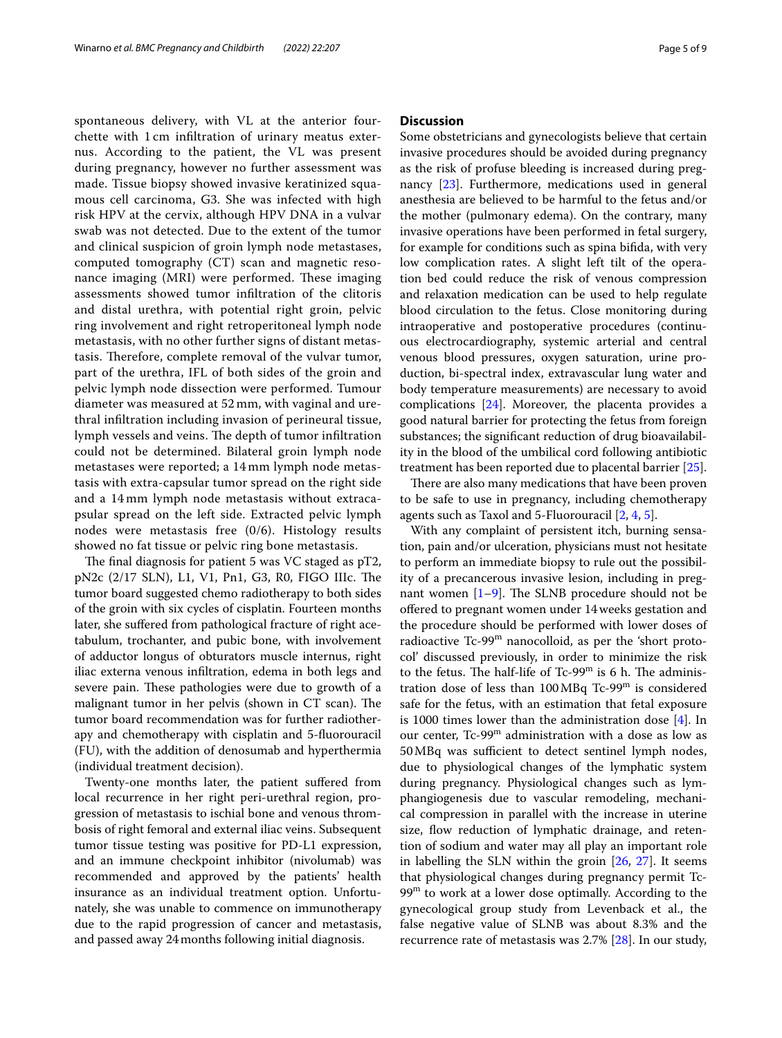spontaneous delivery, with VL at the anterior fourchette with 1 cm infltration of urinary meatus externus. According to the patient, the VL was present during pregnancy, however no further assessment was made. Tissue biopsy showed invasive keratinized squamous cell carcinoma, G3. She was infected with high risk HPV at the cervix, although HPV DNA in a vulvar swab was not detected. Due to the extent of the tumor and clinical suspicion of groin lymph node metastases, computed tomography (CT) scan and magnetic resonance imaging (MRI) were performed. These imaging assessments showed tumor infltration of the clitoris and distal urethra, with potential right groin, pelvic ring involvement and right retroperitoneal lymph node metastasis, with no other further signs of distant metastasis. Therefore, complete removal of the vulvar tumor, part of the urethra, IFL of both sides of the groin and pelvic lymph node dissection were performed. Tumour diameter was measured at 52 mm, with vaginal and urethral infltration including invasion of perineural tissue, lymph vessels and veins. The depth of tumor infiltration could not be determined. Bilateral groin lymph node metastases were reported; a 14 mm lymph node metastasis with extra-capsular tumor spread on the right side and a 14 mm lymph node metastasis without extracapsular spread on the left side. Extracted pelvic lymph nodes were metastasis free (0/6). Histology results showed no fat tissue or pelvic ring bone metastasis.

The final diagnosis for patient 5 was VC staged as  $pT2$ , pN2c (2/17 SLN), L1, V1, Pn1, G3, R0, FIGO IIIc. The tumor board suggested chemo radiotherapy to both sides of the groin with six cycles of cisplatin. Fourteen months later, she sufered from pathological fracture of right acetabulum, trochanter, and pubic bone, with involvement of adductor longus of obturators muscle internus, right iliac externa venous infltration, edema in both legs and severe pain. These pathologies were due to growth of a malignant tumor in her pelvis (shown in CT scan). The tumor board recommendation was for further radiotherapy and chemotherapy with cisplatin and 5-fuorouracil (FU), with the addition of denosumab and hyperthermia (individual treatment decision).

Twenty-one months later, the patient sufered from local recurrence in her right peri-urethral region, progression of metastasis to ischial bone and venous thrombosis of right femoral and external iliac veins. Subsequent tumor tissue testing was positive for PD-L1 expression, and an immune checkpoint inhibitor (nivolumab) was recommended and approved by the patients' health insurance as an individual treatment option. Unfortunately, she was unable to commence on immunotherapy due to the rapid progression of cancer and metastasis, and passed away 24months following initial diagnosis.

# **Discussion**

Some obstetricians and gynecologists believe that certain invasive procedures should be avoided during pregnancy as the risk of profuse bleeding is increased during pregnancy [\[23](#page-8-5)]. Furthermore, medications used in general anesthesia are believed to be harmful to the fetus and/or the mother (pulmonary edema). On the contrary, many invasive operations have been performed in fetal surgery, for example for conditions such as spina bifda, with very low complication rates. A slight left tilt of the operation bed could reduce the risk of venous compression and relaxation medication can be used to help regulate blood circulation to the fetus. Close monitoring during intraoperative and postoperative procedures (continuous electrocardiography, systemic arterial and central venous blood pressures, oxygen saturation, urine production, bi-spectral index, extravascular lung water and body temperature measurements) are necessary to avoid complications [\[24\]](#page-8-6). Moreover, the placenta provides a good natural barrier for protecting the fetus from foreign substances; the signifcant reduction of drug bioavailability in the blood of the umbilical cord following antibiotic treatment has been reported due to placental barrier [\[25](#page-8-7)].

There are also many medications that have been proven to be safe to use in pregnancy, including chemotherapy agents such as Taxol and 5-Fluorouracil [[2,](#page-7-12) [4](#page-7-11), [5\]](#page-7-2).

With any complaint of persistent itch, burning sensation, pain and/or ulceration, physicians must not hesitate to perform an immediate biopsy to rule out the possibility of a precancerous invasive lesion, including in pregnant women  $[1-9]$  $[1-9]$ . The SLNB procedure should not be ofered to pregnant women under 14weeks gestation and the procedure should be performed with lower doses of radioactive Tc-99<sup>m</sup> nanocolloid, as per the 'short protocol' discussed previously, in order to minimize the risk to the fetus. The half-life of Tc-99 $^{\rm m}$  is 6 h. The administration dose of less than  $100 \text{MBq Tc-99}^{\text{m}}$  is considered safe for the fetus, with an estimation that fetal exposure is 1000 times lower than the administration dose [\[4](#page-7-11)]. In our center, Tc-99<sup>m</sup> administration with a dose as low as 50 MBq was sufficient to detect sentinel lymph nodes, due to physiological changes of the lymphatic system during pregnancy. Physiological changes such as lymphangiogenesis due to vascular remodeling, mechanical compression in parallel with the increase in uterine size, fow reduction of lymphatic drainage, and retention of sodium and water may all play an important role in labelling the SLN within the groin  $[26, 27]$  $[26, 27]$  $[26, 27]$  $[26, 27]$  $[26, 27]$ . It seems that physiological changes during pregnancy permit Tc- $99<sup>m</sup>$  to work at a lower dose optimally. According to the gynecological group study from Levenback et al., the false negative value of SLNB was about 8.3% and the recurrence rate of metastasis was 2.7% [[28\]](#page-8-10). In our study,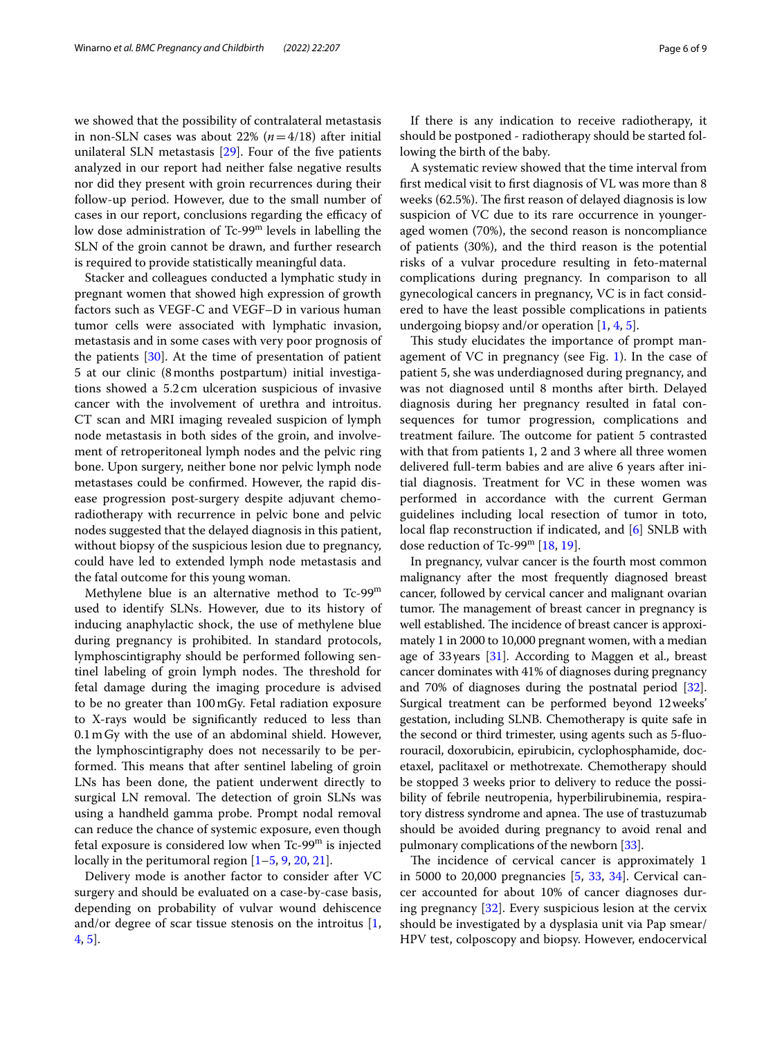we showed that the possibility of contralateral metastasis in non-SLN cases was about 22%  $(n=4/18)$  after initial unilateral SLN metastasis [\[29\]](#page-8-11). Four of the fve patients analyzed in our report had neither false negative results nor did they present with groin recurrences during their follow-up period. However, due to the small number of cases in our report, conclusions regarding the efficacy of low dose administration of Tc-99m levels in labelling the SLN of the groin cannot be drawn, and further research is required to provide statistically meaningful data.

Stacker and colleagues conducted a lymphatic study in pregnant women that showed high expression of growth factors such as VEGF-C and VEGF–D in various human tumor cells were associated with lymphatic invasion, metastasis and in some cases with very poor prognosis of the patients [[30](#page-8-12)]. At the time of presentation of patient 5 at our clinic (8months postpartum) initial investigations showed a 5.2 cm ulceration suspicious of invasive cancer with the involvement of urethra and introitus. CT scan and MRI imaging revealed suspicion of lymph node metastasis in both sides of the groin, and involvement of retroperitoneal lymph nodes and the pelvic ring bone. Upon surgery, neither bone nor pelvic lymph node metastases could be confrmed. However, the rapid disease progression post-surgery despite adjuvant chemoradiotherapy with recurrence in pelvic bone and pelvic nodes suggested that the delayed diagnosis in this patient, without biopsy of the suspicious lesion due to pregnancy, could have led to extended lymph node metastasis and the fatal outcome for this young woman.

Methylene blue is an alternative method to Tc-99<sup>m</sup> used to identify SLNs. However, due to its history of inducing anaphylactic shock, the use of methylene blue during pregnancy is prohibited. In standard protocols, lymphoscintigraphy should be performed following sentinel labeling of groin lymph nodes. The threshold for fetal damage during the imaging procedure is advised to be no greater than 100mGy. Fetal radiation exposure to X-rays would be signifcantly reduced to less than 0.1mGy with the use of an abdominal shield. However, the lymphoscintigraphy does not necessarily to be performed. This means that after sentinel labeling of groin LNs has been done, the patient underwent directly to surgical LN removal. The detection of groin SLNs was using a handheld gamma probe. Prompt nodal removal can reduce the chance of systemic exposure, even though fetal exposure is considered low when  $Tc-99<sup>m</sup>$  is injected locally in the peritumoral region [\[1](#page-7-0)–[5,](#page-7-2) [9](#page-7-5), [20,](#page-8-3) [21](#page-8-4)].

Delivery mode is another factor to consider after VC surgery and should be evaluated on a case-by-case basis, depending on probability of vulvar wound dehiscence and/or degree of scar tissue stenosis on the introitus [\[1](#page-7-0), [4,](#page-7-11) [5](#page-7-2)].

If there is any indication to receive radiotherapy, it should be postponed - radiotherapy should be started following the birth of the baby.

A systematic review showed that the time interval from frst medical visit to frst diagnosis of VL was more than 8 weeks  $(62.5\%)$ . The first reason of delayed diagnosis is low suspicion of VC due to its rare occurrence in youngeraged women (70%), the second reason is noncompliance of patients (30%), and the third reason is the potential risks of a vulvar procedure resulting in feto-maternal complications during pregnancy. In comparison to all gynecological cancers in pregnancy, VC is in fact considered to have the least possible complications in patients undergoing biopsy and/or operation  $[1, 4, 5]$  $[1, 4, 5]$  $[1, 4, 5]$  $[1, 4, 5]$  $[1, 4, 5]$ .

This study elucidates the importance of prompt management of VC in pregnancy (see Fig. [1](#page-6-0)). In the case of patient 5, she was underdiagnosed during pregnancy, and was not diagnosed until 8 months after birth. Delayed diagnosis during her pregnancy resulted in fatal consequences for tumor progression, complications and treatment failure. The outcome for patient 5 contrasted with that from patients 1, 2 and 3 where all three women delivered full-term babies and are alive 6 years after initial diagnosis. Treatment for VC in these women was performed in accordance with the current German guidelines including local resection of tumor in toto, local fap reconstruction if indicated, and [\[6](#page-7-1)] SNLB with dose reduction of Tc-99m [[18,](#page-8-0) [19](#page-8-1)].

In pregnancy, vulvar cancer is the fourth most common malignancy after the most frequently diagnosed breast cancer, followed by cervical cancer and malignant ovarian tumor. The management of breast cancer in pregnancy is well established. The incidence of breast cancer is approximately 1 in 2000 to 10,000 pregnant women, with a median age of 33years [\[31\]](#page-8-13). According to Maggen et al., breast cancer dominates with 41% of diagnoses during pregnancy and 70% of diagnoses during the postnatal period [[32](#page-8-14)]. Surgical treatment can be performed beyond 12weeks' gestation, including SLNB. Chemotherapy is quite safe in the second or third trimester, using agents such as 5-fuorouracil, doxorubicin, epirubicin, cyclophosphamide, docetaxel, paclitaxel or methotrexate. Chemotherapy should be stopped 3 weeks prior to delivery to reduce the possibility of febrile neutropenia, hyperbilirubinemia, respiratory distress syndrome and apnea. The use of trastuzumab should be avoided during pregnancy to avoid renal and pulmonary complications of the newborn [[33](#page-8-15)].

The incidence of cervical cancer is approximately 1 in 5000 to 20,000 pregnancies [[5,](#page-7-2) [33](#page-8-15), [34\]](#page-8-16). Cervical cancer accounted for about 10% of cancer diagnoses during pregnancy [[32\]](#page-8-14). Every suspicious lesion at the cervix should be investigated by a dysplasia unit via Pap smear/ HPV test, colposcopy and biopsy. However, endocervical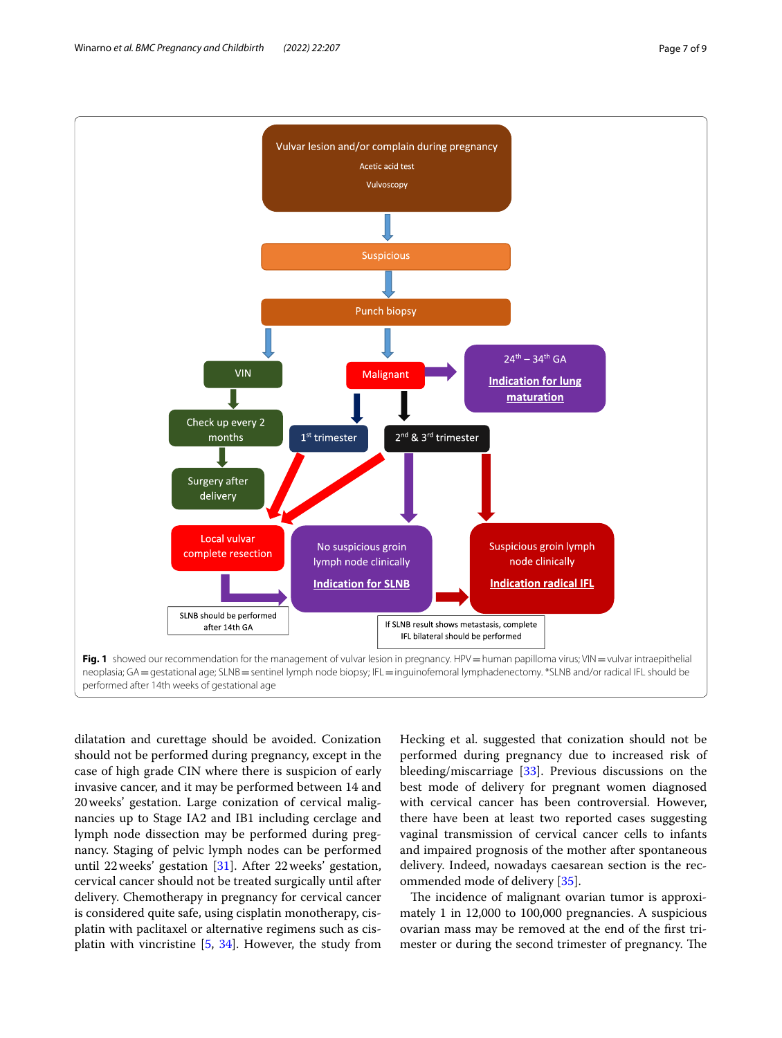

<span id="page-6-0"></span>dilatation and curettage should be avoided. Conization should not be performed during pregnancy, except in the case of high grade CIN where there is suspicion of early invasive cancer, and it may be performed between 14 and 20weeks' gestation. Large conization of cervical malignancies up to Stage IA2 and IB1 including cerclage and lymph node dissection may be performed during pregnancy. Staging of pelvic lymph nodes can be performed until 22weeks' gestation [\[31](#page-8-13)]. After 22weeks' gestation, cervical cancer should not be treated surgically until after delivery. Chemotherapy in pregnancy for cervical cancer is considered quite safe, using cisplatin monotherapy, cisplatin with paclitaxel or alternative regimens such as cisplatin with vincristine [\[5,](#page-7-2) [34\]](#page-8-16). However, the study from Hecking et al. suggested that conization should not be performed during pregnancy due to increased risk of bleeding/miscarriage [[33\]](#page-8-15). Previous discussions on the best mode of delivery for pregnant women diagnosed with cervical cancer has been controversial. However, there have been at least two reported cases suggesting vaginal transmission of cervical cancer cells to infants and impaired prognosis of the mother after spontaneous delivery. Indeed, nowadays caesarean section is the recommended mode of delivery [[35](#page-8-17)].

The incidence of malignant ovarian tumor is approximately 1 in 12,000 to 100,000 pregnancies. A suspicious ovarian mass may be removed at the end of the frst trimester or during the second trimester of pregnancy. The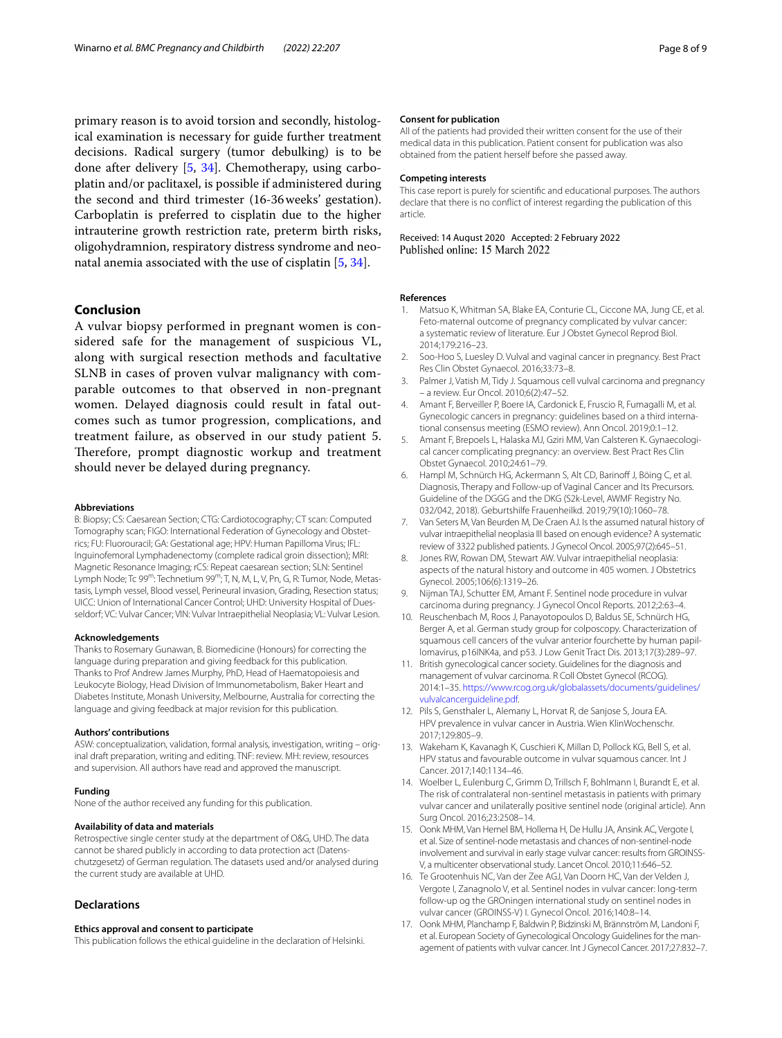primary reason is to avoid torsion and secondly, histological examination is necessary for guide further treatment decisions. Radical surgery (tumor debulking) is to be done after delivery [\[5](#page-7-2), [34\]](#page-8-16). Chemotherapy, using carboplatin and/or paclitaxel, is possible if administered during the second and third trimester (16-36weeks' gestation). Carboplatin is preferred to cisplatin due to the higher intrauterine growth restriction rate, preterm birth risks, oligohydramnion, respiratory distress syndrome and neonatal anemia associated with the use of cisplatin [\[5](#page-7-2), [34\]](#page-8-16).

### **Conclusion**

A vulvar biopsy performed in pregnant women is considered safe for the management of suspicious VL, along with surgical resection methods and facultative SLNB in cases of proven vulvar malignancy with comparable outcomes to that observed in non-pregnant women. Delayed diagnosis could result in fatal outcomes such as tumor progression, complications, and treatment failure, as observed in our study patient 5. Therefore, prompt diagnostic workup and treatment should never be delayed during pregnancy.

#### **Abbreviations**

B: Biopsy; CS: Caesarean Section; CTG: Cardiotocography; CT scan: Computed Tomography scan; FIGO: International Federation of Gynecology and Obstetrics; FU: Fluorouracil; GA: Gestational age; HPV: Human Papilloma Virus; IFL: Inguinofemoral Lymphadenectomy (complete radical groin dissection); MRI: Magnetic Resonance Imaging; rCS: Repeat caesarean section; SLN: Sentinel Lymph Node; Tc 99<sup>m</sup>: Technetium 99<sup>m</sup>; T, N, M, L, V, Pn, G, R: Tumor, Node, Metastasis, Lymph vessel, Blood vessel, Perineural invasion, Grading, Resection status; UICC: Union of International Cancer Control; UHD: University Hospital of Duesseldorf; VC: Vulvar Cancer; VIN: Vulvar Intraepithelial Neoplasia; VL: Vulvar Lesion.

#### **Acknowledgements**

Thanks to Rosemary Gunawan, B. Biomedicine (Honours) for correcting the language during preparation and giving feedback for this publication. Thanks to Prof Andrew James Murphy, PhD, Head of Haematopoiesis and Leukocyte Biology, Head Division of Immunometabolism, Baker Heart and Diabetes Institute, Monash University, Melbourne, Australia for correcting the language and giving feedback at major revision for this publication.

#### **Authors' contributions**

ASW: conceptualization, validation, formal analysis, investigation, writing – original draft preparation, writing and editing. TNF: review. MH: review, resources and supervision. All authors have read and approved the manuscript.

#### **Funding**

None of the author received any funding for this publication.

#### **Availability of data and materials**

Retrospective single center study at the department of O&G, UHD. The data cannot be shared publicly in according to data protection act (Datenschutzgesetz) of German regulation. The datasets used and/or analysed during the current study are available at UHD.

#### **Declarations**

#### **Ethics approval and consent to participate**

This publication follows the ethical guideline in the declaration of Helsinki.

#### **Consent for publication**

All of the patients had provided their written consent for the use of their medical data in this publication. Patient consent for publication was also obtained from the patient herself before she passed away.

#### **Competing interests**

This case report is purely for scientifc and educational purposes. The authors declare that there is no confict of interest regarding the publication of this article.

# Received: 14 August 2020 Accepted: 2 February 2022

#### **References**

- <span id="page-7-0"></span>1. Matsuo K, Whitman SA, Blake EA, Conturie CL, Ciccone MA, Jung CE, et al. Feto-maternal outcome of pregnancy complicated by vulvar cancer: a systematic review of literature. Eur J Obstet Gynecol Reprod Biol. 2014;179:216–23.
- <span id="page-7-12"></span>2. Soo-Hoo S, Luesley D. Vulval and vaginal cancer in pregnancy. Best Pract Res Clin Obstet Gynaecol. 2016;33:73–8.
- Palmer J, Vatish M, Tidy J. Squamous cell vulval carcinoma and pregnancy – a review. Eur Oncol. 2010;6(2):47–52.
- <span id="page-7-11"></span>4. Amant F, Berveiller P, Boere IA, Cardonick E, Fruscio R, Fumagalli M, et al. Gynecologic cancers in pregnancy: guidelines based on a third international consensus meeting (ESMO review). Ann Oncol. 2019;0:1–12.
- <span id="page-7-2"></span>5. Amant F, Brepoels L, Halaska MJ, Gziri MM, Van Calsteren K. Gynaecological cancer complicating pregnancy: an overview. Best Pract Res Clin Obstet Gynaecol. 2010;24:61–79.
- <span id="page-7-1"></span>6. Hampl M, Schnürch HG, Ackermann S, Alt CD, Barinoff J, Böing C, et al. Diagnosis, Therapy and Follow-up of Vaginal Cancer and Its Precursors. Guideline of the DGGG and the DKG (S2k-Level, AWMF Registry No. 032/042, 2018). Geburtshilfe Frauenheilkd. 2019;79(10):1060–78.
- <span id="page-7-3"></span>7. Van Seters M, Van Beurden M, De Craen AJ. Is the assumed natural history of vulvar intraepithelial neoplasia III based on enough evidence? A systematic review of 3322 published patients. J Gynecol Oncol. 2005;97(2):645–51.
- <span id="page-7-4"></span>8. Jones RW, Rowan DM, Stewart AW. Vulvar intraepithelial neoplasia: aspects of the natural history and outcome in 405 women. J Obstetrics Gynecol. 2005;106(6):1319–26.
- <span id="page-7-5"></span>9. Nijman TAJ, Schutter EM, Amant F. Sentinel node procedure in vulvar carcinoma during pregnancy. J Gynecol Oncol Reports. 2012;2:63–4.
- <span id="page-7-6"></span>10. Reuschenbach M, Roos J, Panayotopoulos D, Baldus SE, Schnürch HG, Berger A, et al. German study group for colposcopy. Characterization of squamous cell cancers of the vulvar anterior fourchette by human papillomavirus, p16INK4a, and p53. J Low Genit Tract Dis. 2013;17(3):289–97.
- <span id="page-7-7"></span>11. British gynecological cancer society. Guidelines for the diagnosis and management of vulvar carcinoma. R Coll Obstet Gynecol (RCOG). 2014:1–35. [https://www.rcog.org.uk/globalassets/documents/guidelines/](https://www.rcog.org.uk/globalassets/documents/guidelines/vulvalcancerguideline.pdf) [vulvalcancerguideline.pdf](https://www.rcog.org.uk/globalassets/documents/guidelines/vulvalcancerguideline.pdf).
- 12. Pils S, Gensthaler L, Alemany L, Horvat R, de Sanjose S, Joura EA. HPV prevalence in vulvar cancer in Austria. Wien KlinWochenschr. 2017;129:805–9.
- <span id="page-7-8"></span>13. Wakeham K, Kavanagh K, Cuschieri K, Millan D, Pollock KG, Bell S, et al. HPV status and favourable outcome in vulvar squamous cancer. Int J Cancer. 2017;140:1134–46.
- <span id="page-7-9"></span>14. Woelber L, Eulenburg C, Grimm D, Trillsch F, Bohlmann I, Burandt E, et al. The risk of contralateral non-sentinel metastasis in patients with primary vulvar cancer and unilaterally positive sentinel node (original article). Ann Surg Oncol. 2016;23:2508–14.
- 15. Oonk MHM, Van Hemel BM, Hollema H, De Hullu JA, Ansink AC, Vergote I, et al. Size of sentinel-node metastasis and chances of non-sentinel-node involvement and survival in early stage vulvar cancer: results from GROINSS-V, a multicenter observational study. Lancet Oncol. 2010;11:646–52.
- 16. Te Grootenhuis NC, Van der Zee AGJ, Van Doorn HC, Van der Velden J, Vergote I, Zanagnolo V, et al. Sentinel nodes in vulvar cancer: long-term follow-up og the GROningen international study on sentinel nodes in vulvar cancer (GROINSS-V) I. Gynecol Oncol. 2016;140:8–14.
- <span id="page-7-10"></span>17. Oonk MHM, Planchamp F, Baldwin P, Bidzinski M, Brännström M, Landoni F, et al. European Society of Gynecological Oncology Guidelines for the management of patients with vulvar cancer. Int J Gynecol Cancer. 2017;27:832–7.